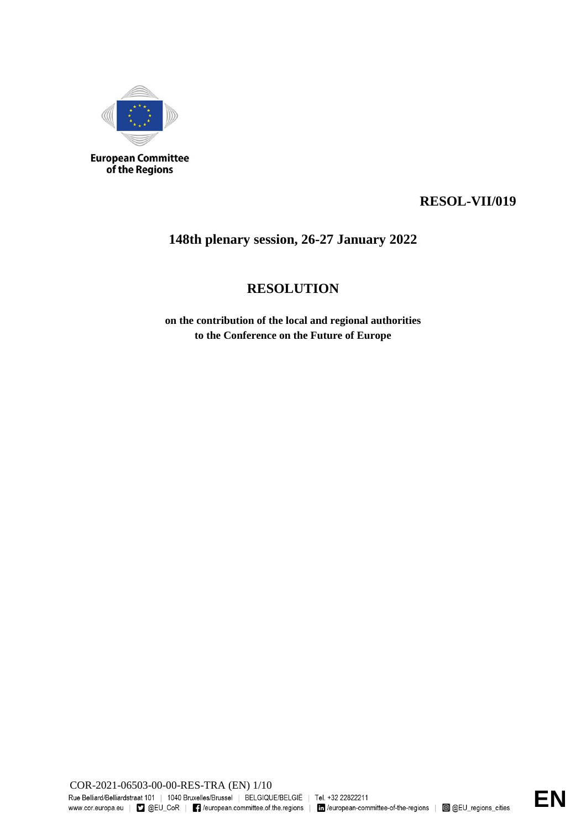

**European Committee**<br>of the Regions

# **RESOL-VII/019**

# **148th plenary session, 26-27 January 2022**

# **RESOLUTION**

**on the contribution of the local and regional authorities to the Conference on the Future of Europe**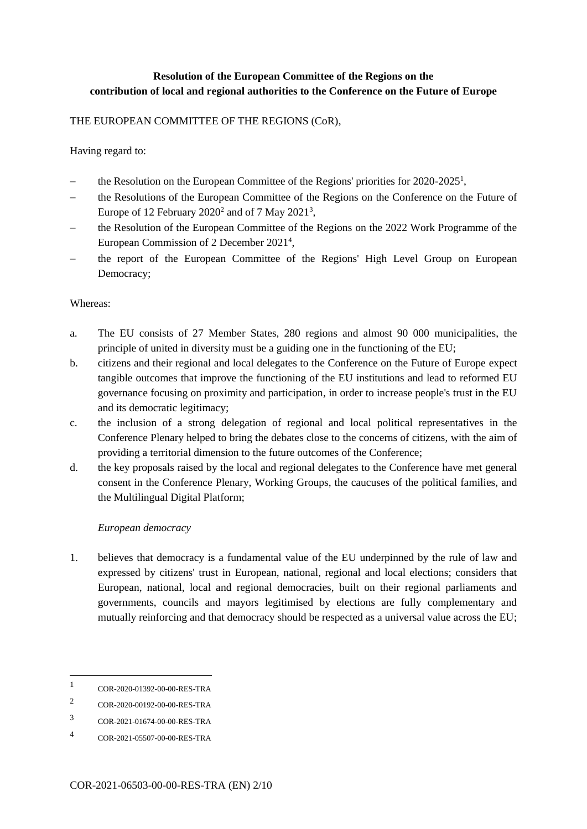# **Resolution of the European Committee of the Regions on the contribution of local and regional authorities to the Conference on the Future of Europe**

### THE EUROPEAN COMMITTEE OF THE REGIONS (CoR),

### Having regard to:

- the Resolution on the European Committee of the Regions' priorities for 2020-2025<sup>1</sup>,
- the Resolutions of the European Committee of the Regions on the Conference on the Future of Europe of 12 February  $2020^2$  and of 7 May  $2021^3$ ,
- the Resolution of the European Committee of the Regions on the 2022 Work Programme of the European Commission of 2 December 2021<sup>4</sup>,
- the report of the European Committee of the Regions' High Level Group on European Democracy;

#### Whereas:

- a. The EU consists of 27 Member States, 280 regions and almost 90 000 municipalities, the principle of united in diversity must be a guiding one in the functioning of the EU;
- b. citizens and their regional and local delegates to the Conference on the Future of Europe expect tangible outcomes that improve the functioning of the EU institutions and lead to reformed EU governance focusing on proximity and participation, in order to increase people's trust in the EU and its democratic legitimacy;
- c. the inclusion of a strong delegation of regional and local political representatives in the Conference Plenary helped to bring the debates close to the concerns of citizens, with the aim of providing a territorial dimension to the future outcomes of the Conference;
- d. the key proposals raised by the local and regional delegates to the Conference have met general consent in the Conference Plenary, Working Groups, the caucuses of the political families, and the Multilingual Digital Platform;

# *European democracy*

1. believes that democracy is a fundamental value of the EU underpinned by the rule of law and expressed by citizens' trust in European, national, regional and local elections; considers that European, national, local and regional democracies, built on their regional parliaments and governments, councils and mayors legitimised by elections are fully complementary and mutually reinforcing and that democracy should be respected as a universal value across the EU;

1

<sup>1</sup> COR-2020-01392-00-00-RES-TRA

<sup>2</sup> COR-2020-00192-00-00-RES-TRA

<sup>3</sup> COR-2021-01674-00-00-RES-TRA

<sup>4</sup> COR-2021-05507-00-00-RES-TRA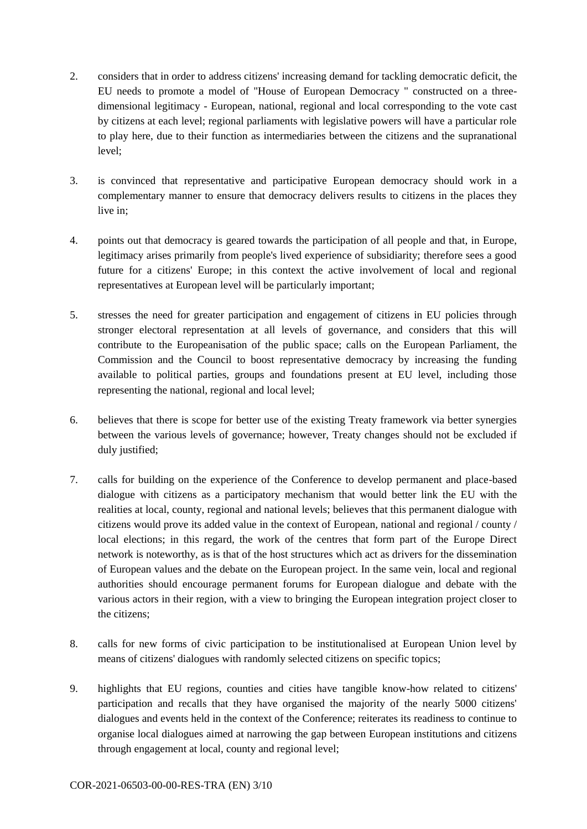- 2. considers that in order to address citizens' increasing demand for tackling democratic deficit, the EU needs to promote a model of "House of European Democracy " constructed on a threedimensional legitimacy - European, national, regional and local corresponding to the vote cast by citizens at each level; regional parliaments with legislative powers will have a particular role to play here, due to their function as intermediaries between the citizens and the supranational level;
- 3. is convinced that representative and participative European democracy should work in a complementary manner to ensure that democracy delivers results to citizens in the places they live in;
- 4. points out that democracy is geared towards the participation of all people and that, in Europe, legitimacy arises primarily from people's lived experience of subsidiarity; therefore sees a good future for a citizens' Europe; in this context the active involvement of local and regional representatives at European level will be particularly important;
- 5. stresses the need for greater participation and engagement of citizens in EU policies through stronger electoral representation at all levels of governance, and considers that this will contribute to the Europeanisation of the public space; calls on the European Parliament, the Commission and the Council to boost representative democracy by increasing the funding available to political parties, groups and foundations present at EU level, including those representing the national, regional and local level;
- 6. believes that there is scope for better use of the existing Treaty framework via better synergies between the various levels of governance; however, Treaty changes should not be excluded if duly justified;
- 7. calls for building on the experience of the Conference to develop permanent and place-based dialogue with citizens as a participatory mechanism that would better link the EU with the realities at local, county, regional and national levels; believes that this permanent dialogue with citizens would prove its added value in the context of European, national and regional / county / local elections; in this regard, the work of the centres that form part of the Europe Direct network is noteworthy, as is that of the host structures which act as drivers for the dissemination of European values and the debate on the European project. In the same vein, local and regional authorities should encourage permanent forums for European dialogue and debate with the various actors in their region, with a view to bringing the European integration project closer to the citizens;
- 8. calls for new forms of civic participation to be institutionalised at European Union level by means of citizens' dialogues with randomly selected citizens on specific topics;
- 9. highlights that EU regions, counties and cities have tangible know-how related to citizens' participation and recalls that they have organised the majority of the nearly 5000 citizens' dialogues and events held in the context of the Conference; reiterates its readiness to continue to organise local dialogues aimed at narrowing the gap between European institutions and citizens through engagement at local, county and regional level;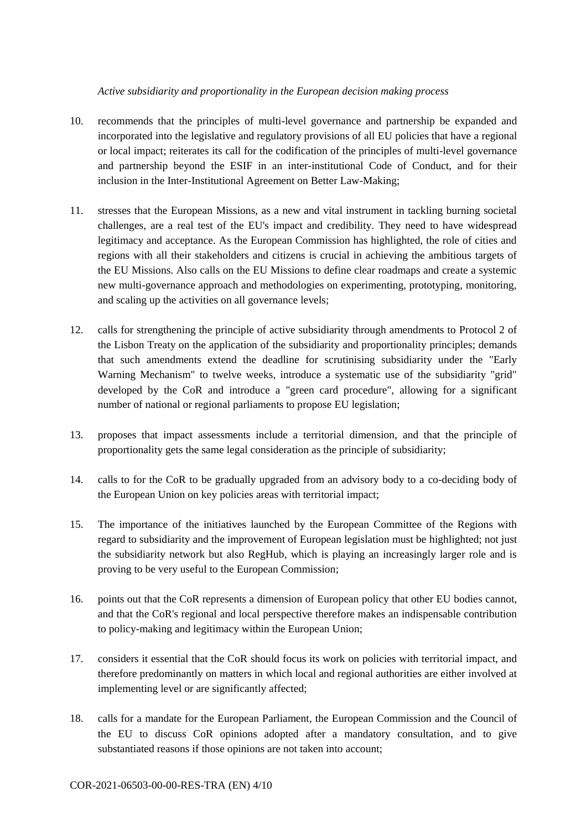### *Active subsidiarity and proportionality in the European decision making process*

- 10. recommends that the principles of multi-level governance and partnership be expanded and incorporated into the legislative and regulatory provisions of all EU policies that have a regional or local impact; reiterates its call for the codification of the principles of multi-level governance and partnership beyond the ESIF in an inter-institutional Code of Conduct, and for their inclusion in the Inter-Institutional Agreement on Better Law-Making;
- 11. stresses that the European Missions, as a new and vital instrument in tackling burning societal challenges, are a real test of the EU's impact and credibility. They need to have widespread legitimacy and acceptance. As the European Commission has highlighted, the role of cities and regions with all their stakeholders and citizens is crucial in achieving the ambitious targets of the EU Missions. Also calls on the EU Missions to define clear roadmaps and create a systemic new multi-governance approach and methodologies on experimenting, prototyping, monitoring, and scaling up the activities on all governance levels;
- 12. calls for strengthening the principle of active subsidiarity through amendments to Protocol 2 of the Lisbon Treaty on the application of the subsidiarity and proportionality principles; demands that such amendments extend the deadline for scrutinising subsidiarity under the "Early Warning Mechanism" to twelve weeks, introduce a systematic use of the subsidiarity "grid" developed by the CoR and introduce a "green card procedure", allowing for a significant number of national or regional parliaments to propose EU legislation;
- 13. proposes that impact assessments include a territorial dimension, and that the principle of proportionality gets the same legal consideration as the principle of subsidiarity;
- 14. calls to for the CoR to be gradually upgraded from an advisory body to a co-deciding body of the European Union on key policies areas with territorial impact;
- 15. The importance of the initiatives launched by the European Committee of the Regions with regard to subsidiarity and the improvement of European legislation must be highlighted; not just the subsidiarity network but also RegHub, which is playing an increasingly larger role and is proving to be very useful to the European Commission;
- 16. points out that the CoR represents a dimension of European policy that other EU bodies cannot, and that the CoR's regional and local perspective therefore makes an indispensable contribution to policy-making and legitimacy within the European Union;
- 17. considers it essential that the CoR should focus its work on policies with territorial impact, and therefore predominantly on matters in which local and regional authorities are either involved at implementing level or are significantly affected;
- 18. calls for a mandate for the European Parliament, the European Commission and the Council of the EU to discuss CoR opinions adopted after a mandatory consultation, and to give substantiated reasons if those opinions are not taken into account;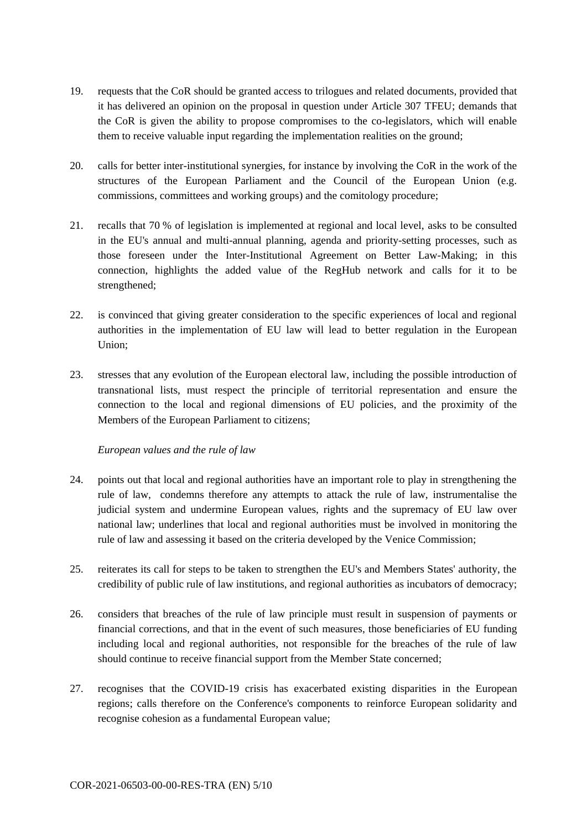- 19. requests that the CoR should be granted access to trilogues and related documents, provided that it has delivered an opinion on the proposal in question under Article 307 TFEU; demands that the CoR is given the ability to propose compromises to the co-legislators, which will enable them to receive valuable input regarding the implementation realities on the ground;
- 20. calls for better inter-institutional synergies, for instance by involving the CoR in the work of the structures of the European Parliament and the Council of the European Union (e.g. commissions, committees and working groups) and the comitology procedure;
- 21. recalls that 70 % of legislation is implemented at regional and local level, asks to be consulted in the EU's annual and multi-annual planning, agenda and priority-setting processes, such as those foreseen under the Inter-Institutional Agreement on Better Law-Making; in this connection, highlights the added value of the RegHub network and calls for it to be strengthened;
- 22. is convinced that giving greater consideration to the specific experiences of local and regional authorities in the implementation of EU law will lead to better regulation in the European Union;
- 23. stresses that any evolution of the European electoral law, including the possible introduction of transnational lists, must respect the principle of territorial representation and ensure the connection to the local and regional dimensions of EU policies, and the proximity of the Members of the European Parliament to citizens;

# *European values and the rule of law*

- 24. points out that local and regional authorities have an important role to play in strengthening the rule of law, condemns therefore any attempts to attack the rule of law, instrumentalise the judicial system and undermine European values, rights and the supremacy of EU law over national law; underlines that local and regional authorities must be involved in monitoring the rule of law and assessing it based on the criteria developed by the Venice Commission;
- 25. reiterates its call for steps to be taken to strengthen the EU's and Members States' authority, the credibility of public rule of law institutions, and regional authorities as incubators of democracy;
- 26. considers that breaches of the rule of law principle must result in suspension of payments or financial corrections, and that in the event of such measures, those beneficiaries of EU funding including local and regional authorities, not responsible for the breaches of the rule of law should continue to receive financial support from the Member State concerned;
- 27. recognises that the COVID-19 crisis has exacerbated existing disparities in the European regions; calls therefore on the Conference's components to reinforce European solidarity and recognise cohesion as a fundamental European value;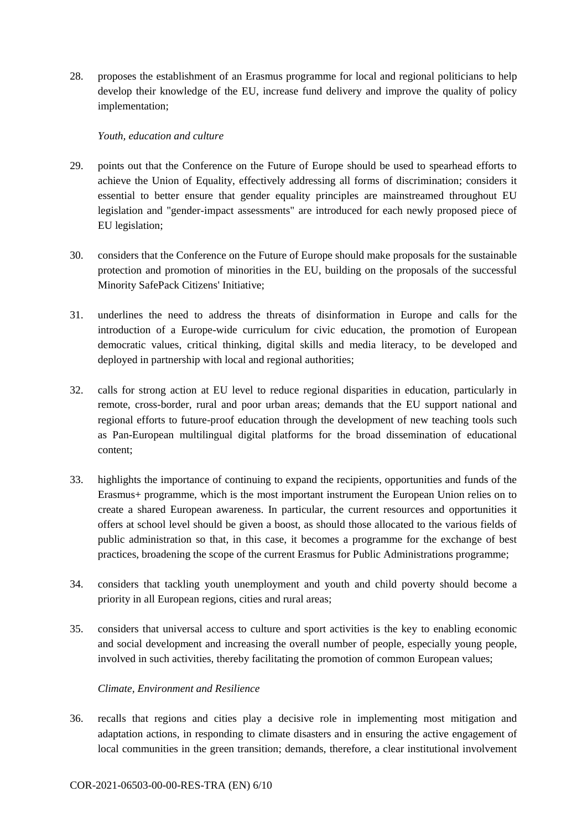28. proposes the establishment of an Erasmus programme for local and regional politicians to help develop their knowledge of the EU, increase fund delivery and improve the quality of policy implementation;

#### *Youth, education and culture*

- 29. points out that the Conference on the Future of Europe should be used to spearhead efforts to achieve the Union of Equality, effectively addressing all forms of discrimination; considers it essential to better ensure that gender equality principles are mainstreamed throughout EU legislation and "gender-impact assessments" are introduced for each newly proposed piece of EU legislation;
- 30. considers that the Conference on the Future of Europe should make proposals for the sustainable protection and promotion of minorities in the EU, building on the proposals of the successful Minority SafePack Citizens' Initiative;
- 31. underlines the need to address the threats of disinformation in Europe and calls for the introduction of a Europe-wide curriculum for civic education, the promotion of European democratic values, critical thinking, digital skills and media literacy, to be developed and deployed in partnership with local and regional authorities;
- 32. calls for strong action at EU level to reduce regional disparities in education, particularly in remote, cross-border, rural and poor urban areas; demands that the EU support national and regional efforts to future-proof education through the development of new teaching tools such as Pan-European multilingual digital platforms for the broad dissemination of educational content;
- 33. highlights the importance of continuing to expand the recipients, opportunities and funds of the Erasmus+ programme, which is the most important instrument the European Union relies on to create a shared European awareness. In particular, the current resources and opportunities it offers at school level should be given a boost, as should those allocated to the various fields of public administration so that, in this case, it becomes a programme for the exchange of best practices, broadening the scope of the current Erasmus for Public Administrations programme;
- 34. considers that tackling youth unemployment and youth and child poverty should become a priority in all European regions, cities and rural areas;
- 35. considers that universal access to culture and sport activities is the key to enabling economic and social development and increasing the overall number of people, especially young people, involved in such activities, thereby facilitating the promotion of common European values;

# *Climate, Environment and Resilience*

36. recalls that regions and cities play a decisive role in implementing most mitigation and adaptation actions, in responding to climate disasters and in ensuring the active engagement of local communities in the green transition; demands, therefore, a clear institutional involvement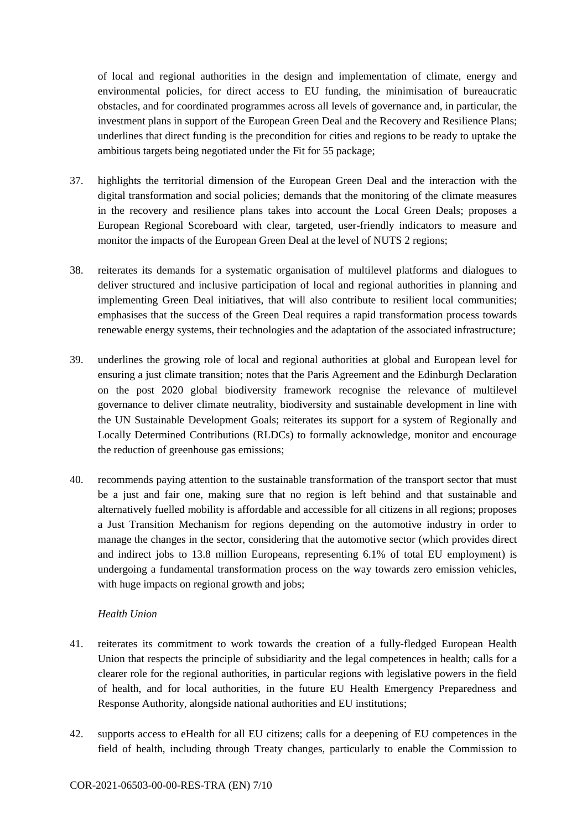of local and regional authorities in the design and implementation of climate, energy and environmental policies, for direct access to EU funding, the minimisation of bureaucratic obstacles, and for coordinated programmes across all levels of governance and, in particular, the investment plans in support of the European Green Deal and the Recovery and Resilience Plans; underlines that direct funding is the precondition for cities and regions to be ready to uptake the ambitious targets being negotiated under the Fit for 55 package;

- 37. highlights the territorial dimension of the European Green Deal and the interaction with the digital transformation and social policies; demands that the monitoring of the climate measures in the recovery and resilience plans takes into account the Local Green Deals; proposes a European Regional Scoreboard with clear, targeted, user-friendly indicators to measure and monitor the impacts of the European Green Deal at the level of NUTS 2 regions;
- 38. reiterates its demands for a systematic organisation of multilevel platforms and dialogues to deliver structured and inclusive participation of local and regional authorities in planning and implementing Green Deal initiatives, that will also contribute to resilient local communities; emphasises that the success of the Green Deal requires a rapid transformation process towards renewable energy systems, their technologies and the adaptation of the associated infrastructure;
- 39. underlines the growing role of local and regional authorities at global and European level for ensuring a just climate transition; notes that the Paris Agreement and the Edinburgh Declaration on the post 2020 global biodiversity framework recognise the relevance of multilevel governance to deliver climate neutrality, biodiversity and sustainable development in line with the UN Sustainable Development Goals; reiterates its support for a system of Regionally and Locally Determined Contributions (RLDCs) to formally acknowledge, monitor and encourage the reduction of greenhouse gas emissions;
- 40. recommends paying attention to the sustainable transformation of the transport sector that must be a just and fair one, making sure that no region is left behind and that sustainable and alternatively fuelled mobility is affordable and accessible for all citizens in all regions; proposes a Just Transition Mechanism for regions depending on the automotive industry in order to manage the changes in the sector, considering that the automotive sector (which provides direct and indirect jobs to 13.8 million Europeans, representing 6.1% of total EU employment) is undergoing a fundamental transformation process on the way towards zero emission vehicles, with huge impacts on regional growth and jobs;

#### *Health Union*

- 41. reiterates its commitment to work towards the creation of a fully-fledged European Health Union that respects the principle of subsidiarity and the legal competences in health; calls for a clearer role for the regional authorities, in particular regions with legislative powers in the field of health, and for local authorities, in the future EU Health Emergency Preparedness and Response Authority, alongside national authorities and EU institutions;
- 42. supports access to eHealth for all EU citizens; calls for a deepening of EU competences in the field of health, including through Treaty changes, particularly to enable the Commission to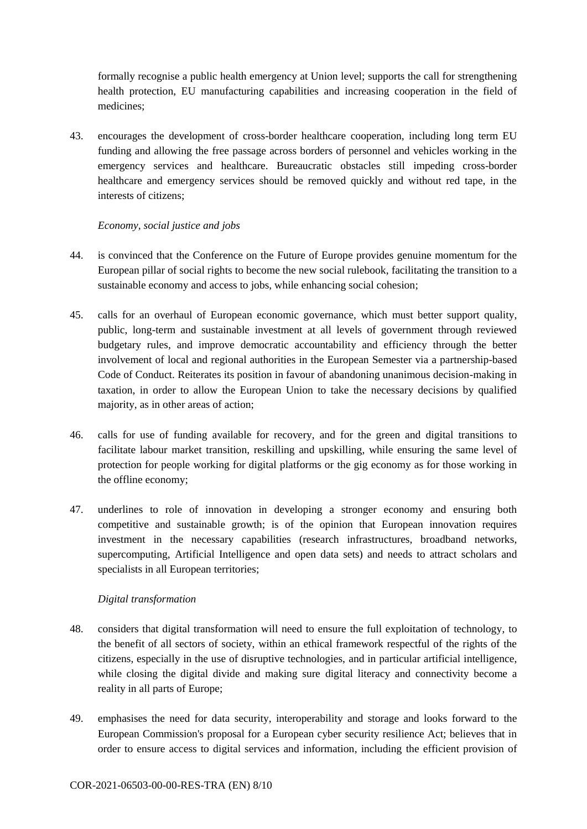formally recognise a public health emergency at Union level; supports the call for strengthening health protection, EU manufacturing capabilities and increasing cooperation in the field of medicines;

43. encourages the development of cross-border healthcare cooperation, including long term EU funding and allowing the free passage across borders of personnel and vehicles working in the emergency services and healthcare. Bureaucratic obstacles still impeding cross-border healthcare and emergency services should be removed quickly and without red tape, in the interests of citizens;

# *Economy, social justice and jobs*

- 44. is convinced that the Conference on the Future of Europe provides genuine momentum for the European pillar of social rights to become the new social rulebook, facilitating the transition to a sustainable economy and access to jobs, while enhancing social cohesion;
- 45. calls for an overhaul of European economic governance, which must better support quality, public, long-term and sustainable investment at all levels of government through reviewed budgetary rules, and improve democratic accountability and efficiency through the better involvement of local and regional authorities in the European Semester via a partnership-based Code of Conduct. Reiterates its position in favour of abandoning unanimous decision-making in taxation, in order to allow the European Union to take the necessary decisions by qualified majority, as in other areas of action;
- 46. calls for use of funding available for recovery, and for the green and digital transitions to facilitate labour market transition, reskilling and upskilling, while ensuring the same level of protection for people working for digital platforms or the gig economy as for those working in the offline economy;
- 47. underlines to role of innovation in developing a stronger economy and ensuring both competitive and sustainable growth; is of the opinion that European innovation requires investment in the necessary capabilities (research infrastructures, broadband networks, supercomputing, Artificial Intelligence and open data sets) and needs to attract scholars and specialists in all European territories;

# *Digital transformation*

- 48. considers that digital transformation will need to ensure the full exploitation of technology, to the benefit of all sectors of society, within an ethical framework respectful of the rights of the citizens, especially in the use of disruptive technologies, and in particular artificial intelligence, while closing the digital divide and making sure digital literacy and connectivity become a reality in all parts of Europe;
- 49. emphasises the need for data security, interoperability and storage and looks forward to the European Commission's proposal for a European cyber security resilience Act; believes that in order to ensure access to digital services and information, including the efficient provision of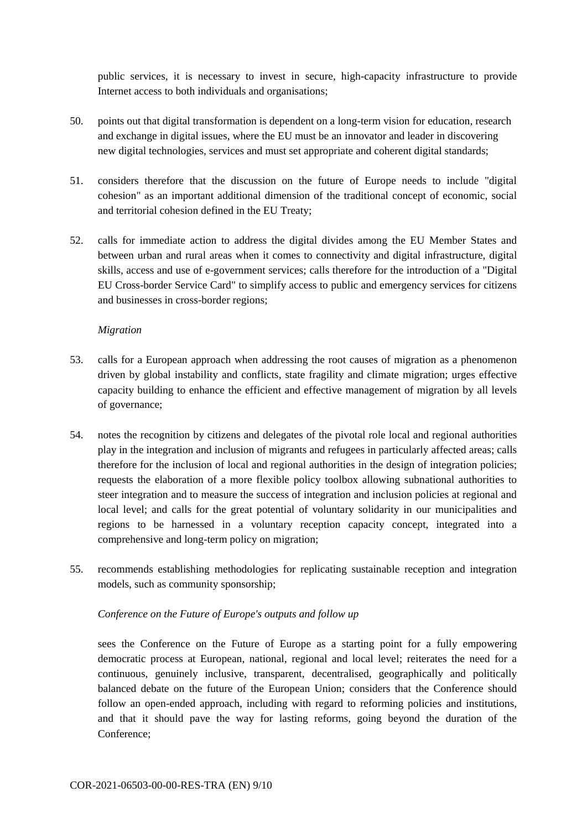public services, it is necessary to invest in secure, high-capacity infrastructure to provide Internet access to both individuals and organisations;

- 50. points out that digital transformation is dependent on a long-term vision for education, research and exchange in digital issues, where the EU must be an innovator and leader in discovering new digital technologies, services and must set appropriate and coherent digital standards;
- 51. considers therefore that the discussion on the future of Europe needs to include "digital cohesion" as an important additional dimension of the traditional concept of economic, social and territorial cohesion defined in the EU Treaty;
- 52. calls for immediate action to address the digital divides among the EU Member States and between urban and rural areas when it comes to connectivity and digital infrastructure, digital skills, access and use of e-government services; calls therefore for the introduction of a "Digital EU Cross-border Service Card" to simplify access to public and emergency services for citizens and businesses in cross-border regions;

#### *Migration*

- 53. calls for a European approach when addressing the root causes of migration as a phenomenon driven by global instability and conflicts, state fragility and climate migration; urges effective capacity building to enhance the efficient and effective management of migration by all levels of governance;
- 54. notes the recognition by citizens and delegates of the pivotal role local and regional authorities play in the integration and inclusion of migrants and refugees in particularly affected areas; calls therefore for the inclusion of local and regional authorities in the design of integration policies; requests the elaboration of a more flexible policy toolbox allowing subnational authorities to steer integration and to measure the success of integration and inclusion policies at regional and local level; and calls for the great potential of voluntary solidarity in our municipalities and regions to be harnessed in a voluntary reception capacity concept, integrated into a comprehensive and long-term policy on migration;
- 55. recommends establishing methodologies for replicating sustainable reception and integration models, such as community sponsorship;

# *Conference on the Future of Europe's outputs and follow up*

sees the Conference on the Future of Europe as a starting point for a fully empowering democratic process at European, national, regional and local level; reiterates the need for a continuous, genuinely inclusive, transparent, decentralised, geographically and politically balanced debate on the future of the European Union; considers that the Conference should follow an open-ended approach, including with regard to reforming policies and institutions, and that it should pave the way for lasting reforms, going beyond the duration of the Conference;